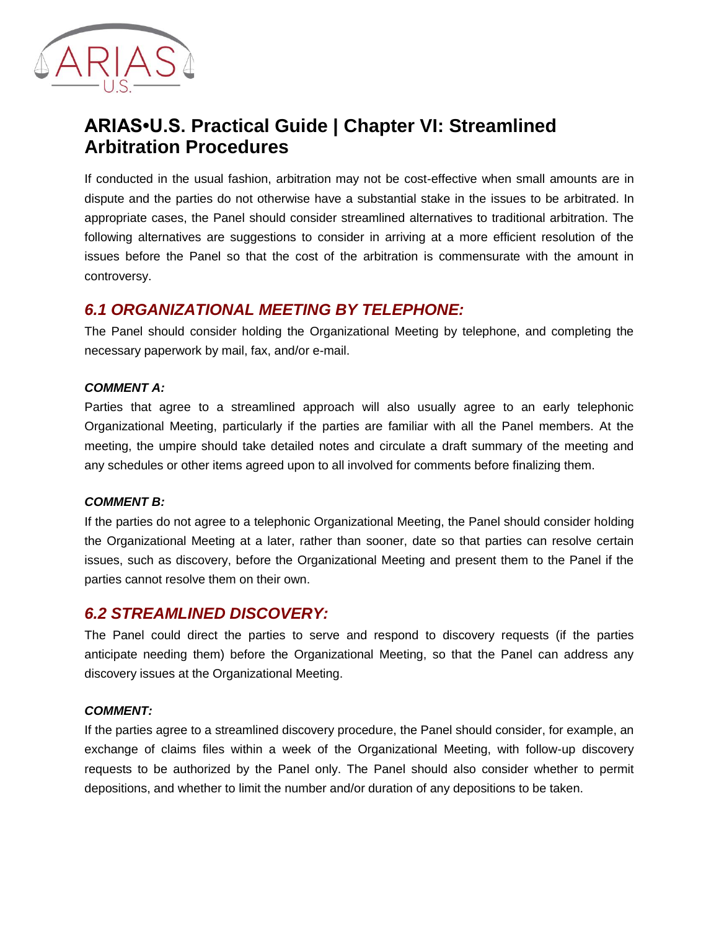

# **ARIAS•U.S. Practical Guide | Chapter VI: Streamlined Arbitration Procedures**

If conducted in the usual fashion, arbitration may not be cost-effective when small amounts are in dispute and the parties do not otherwise have a substantial stake in the issues to be arbitrated. In appropriate cases, the Panel should consider streamlined alternatives to traditional arbitration. The following alternatives are suggestions to consider in arriving at a more efficient resolution of the issues before the Panel so that the cost of the arbitration is commensurate with the amount in controversy.

## *6.1 ORGANIZATIONAL MEETING BY TELEPHONE:*

The Panel should consider holding the Organizational Meeting by telephone, and completing the necessary paperwork by mail, fax, and/or e-mail.

#### *COMMENT A:*

Parties that agree to a streamlined approach will also usually agree to an early telephonic Organizational Meeting, particularly if the parties are familiar with all the Panel members. At the meeting, the umpire should take detailed notes and circulate a draft summary of the meeting and any schedules or other items agreed upon to all involved for comments before finalizing them.

#### *COMMENT B:*

If the parties do not agree to a telephonic Organizational Meeting, the Panel should consider holding the Organizational Meeting at a later, rather than sooner, date so that parties can resolve certain issues, such as discovery, before the Organizational Meeting and present them to the Panel if the parties cannot resolve them on their own.

## *6.2 STREAMLINED DISCOVERY:*

The Panel could direct the parties to serve and respond to discovery requests (if the parties anticipate needing them) before the Organizational Meeting, so that the Panel can address any discovery issues at the Organizational Meeting.

#### *COMMENT:*

If the parties agree to a streamlined discovery procedure, the Panel should consider, for example, an exchange of claims files within a week of the Organizational Meeting, with follow-up discovery requests to be authorized by the Panel only. The Panel should also consider whether to permit depositions, and whether to limit the number and/or duration of any depositions to be taken.